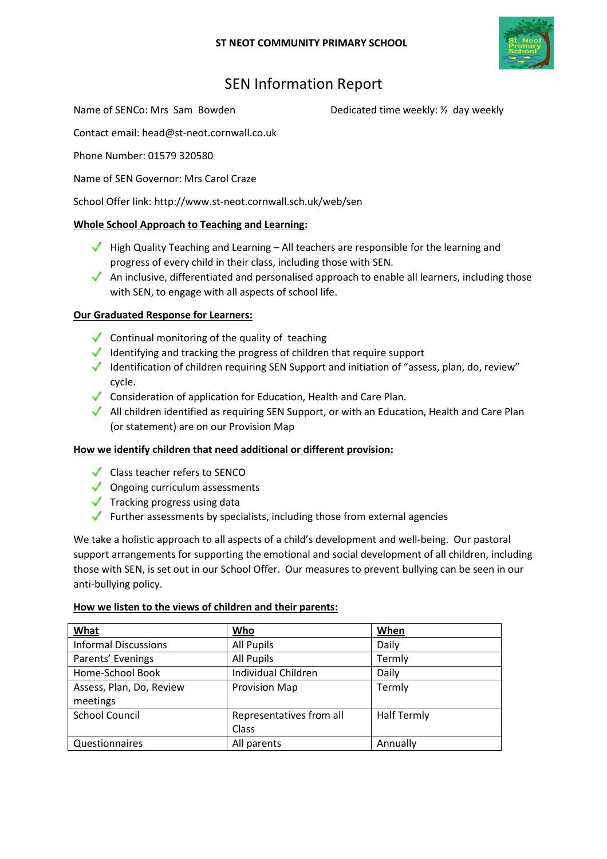

# SEN Information Report

Name of SENCo: Mrs Sam Bowden Dedicated time weekly: 1/2 day weekly

Contact email: head@st-neot.cornwall.co.uk

Phone Number: 01579 320580

Name of SEN Governor: Mrs Carol Craze

School Offer link: http://www.st-neot.cornwall.sch.uk/web/sen

## Whole School Approach to Teaching and Learning:

- $\blacktriangledown$  High Quality Teaching and Learning All teachers are responsible for the learning and progress of every child in their class, including those with SEN.
- An inclusive, differentiated and personalised approach to enable all learners, including those with SEN, to engage with all aspects of school life.

## Our Graduated Response for Learners:

- $\checkmark$  Continual monitoring of the quality of teaching
- $\blacklozenge$  Identifying and tracking the progress of children that require support
- Identification of children requiring SEN Support and initiation of "assess, plan, do, review" cycle.
- $\triangleleft$  Consideration of application for Education, Health and Care Plan.
- All children identified as requiring SEN Support, or with an Education, Health and Care Plan (or statement) are on our Provision Map

## How we identify children that need additional or different provision:

- Class teacher refers to SENCO
- $\sqrt{\phantom{a}}$  Ongoing curriculum assessments
- $\sqrt{\phantom{a}}$  Tracking progress using data
- $\blacktriangleright$  Further assessments by specialists, including those from external agencies

We take a holistic approach to all aspects of a child's development and well-being. Our pastoral support arrangements for supporting the emotional and social development of all children, including those with SEN, is set out in our School Offer. Our measures to prevent bullying can be seen in our anti-bullying policy.

## How we listen to the views of children and their parents:

| What                        | Who                      | When               |
|-----------------------------|--------------------------|--------------------|
| <b>Informal Discussions</b> | All Pupils               | Daily              |
| Parents' Evenings           | All Pupils               | Termly             |
| Home-School Book            | Individual Children      | Daily              |
| Assess, Plan, Do, Review    | <b>Provision Map</b>     | Termly             |
| meetings                    |                          |                    |
| <b>School Council</b>       | Representatives from all | <b>Half Termly</b> |
|                             | Class                    |                    |
| Questionnaires              | All parents              | Annually           |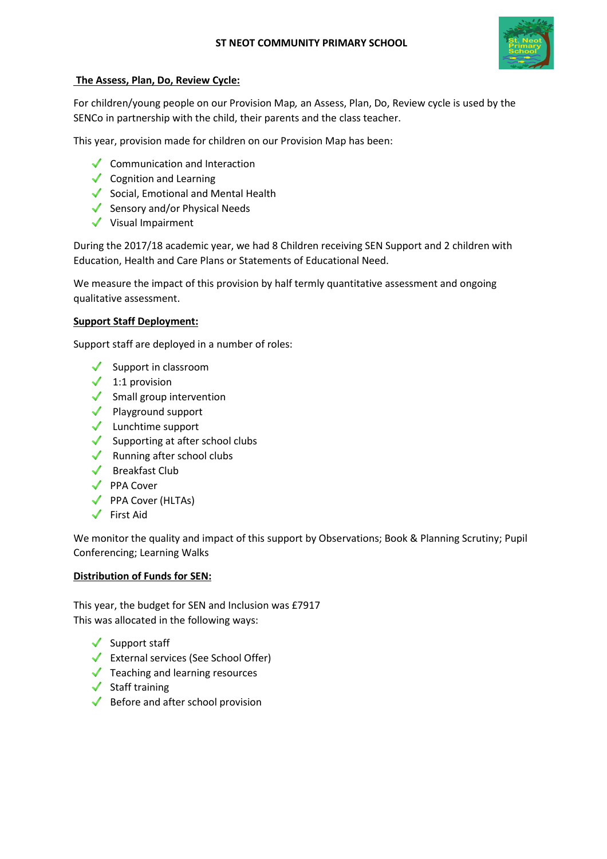

### The Assess, Plan, Do, Review Cycle:

For children/young people on our Provision Map, an Assess, Plan, Do, Review cycle is used by the SENCo in partnership with the child, their parents and the class teacher.

This year, provision made for children on our Provision Map has been:

- Communication and Interaction
- $\sqrt{\phantom{a}}$  Cognition and Learning
- $\checkmark$  Social, Emotional and Mental Health
- $\checkmark$  Sensory and/or Physical Needs
- $\checkmark$  Visual Impairment

During the 2017/18 academic year, we had 8 Children receiving SEN Support and 2 children with Education, Health and Care Plans or Statements of Educational Need.

We measure the impact of this provision by half termly quantitative assessment and ongoing qualitative assessment.

#### Support Staff Deployment:

Support staff are deployed in a number of roles:

- $\checkmark$  Support in classroom
- $\checkmark$  1:1 provision
- $\checkmark$  Small group intervention
- ◆ Playground support
- $\checkmark$  Lunchtime support
- $\checkmark$  Supporting at after school clubs
- $\blacklozenge$  Running after school clubs
- $\checkmark$  Breakfast Club
- ◆ PPA Cover
- ◆ PPA Cover (HLTAs)
- $\checkmark$  First Aid

We monitor the quality and impact of this support by Observations; Book & Planning Scrutiny; Pupil Conferencing; Learning Walks

## Distribution of Funds for SEN:

This year, the budget for SEN and Inclusion was £7917 This was allocated in the following ways:

- $\checkmark$  Support staff
- External services (See School Offer)
- $\sqrt{\phantom{a}}$  Teaching and learning resources
- $\checkmark$  Staff training
- $\blacklozenge$  Before and after school provision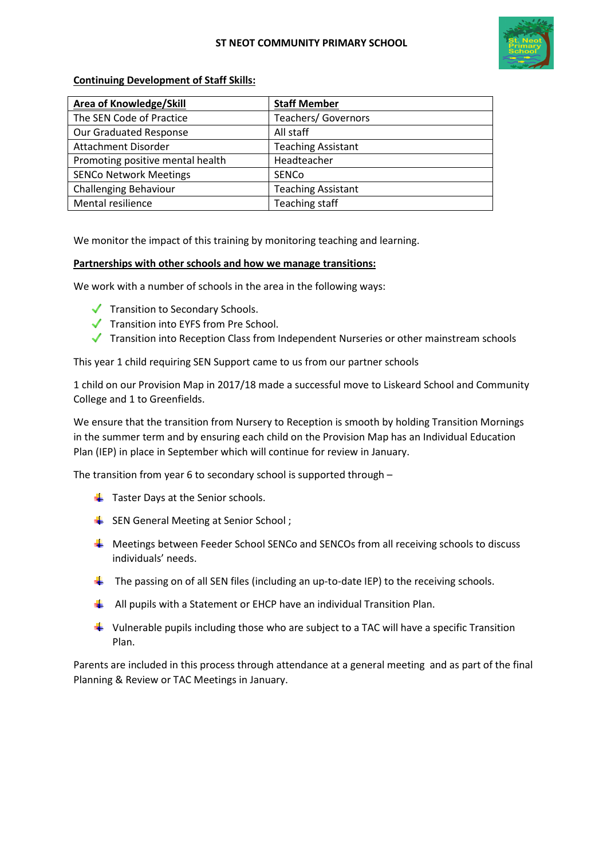

#### Continuing Development of Staff Skills:

| Area of Knowledge/Skill          | <b>Staff Member</b>        |
|----------------------------------|----------------------------|
| The SEN Code of Practice         | <b>Teachers/ Governors</b> |
| Our Graduated Response           | All staff                  |
| Attachment Disorder              | <b>Teaching Assistant</b>  |
| Promoting positive mental health | Headteacher                |
| <b>SENCo Network Meetings</b>    | <b>SENCO</b>               |
| <b>Challenging Behaviour</b>     | <b>Teaching Assistant</b>  |
| Mental resilience                | Teaching staff             |

We monitor the impact of this training by monitoring teaching and learning.

#### Partnerships with other schools and how we manage transitions:

We work with a number of schools in the area in the following ways:

- $\blacktriangledown$  Transition to Secondary Schools.
- Transition into EYFS from Pre School.
- Transition into Reception Class from Independent Nurseries or other mainstream schools

This year 1 child requiring SEN Support came to us from our partner schools

1 child on our Provision Map in 2017/18 made a successful move to Liskeard School and Community College and 1 to Greenfields.

We ensure that the transition from Nursery to Reception is smooth by holding Transition Mornings in the summer term and by ensuring each child on the Provision Map has an Individual Education Plan (IEP) in place in September which will continue for review in January.

The transition from year 6 to secondary school is supported through –

- $\frac{1}{2}$  Taster Days at the Senior schools.
- SEN General Meeting at Senior School;
- $\frac{1}{2}$  Meetings between Feeder School SENCo and SENCOs from all receiving schools to discuss individuals' needs.
- $\ddot{+}$  The passing on of all SEN files (including an up-to-date IEP) to the receiving schools.
- $\downarrow$  All pupils with a Statement or EHCP have an individual Transition Plan.
- $\ddot{\bullet}$  Vulnerable pupils including those who are subject to a TAC will have a specific Transition Plan.

Parents are included in this process through attendance at a general meeting and as part of the final Planning & Review or TAC Meetings in January.